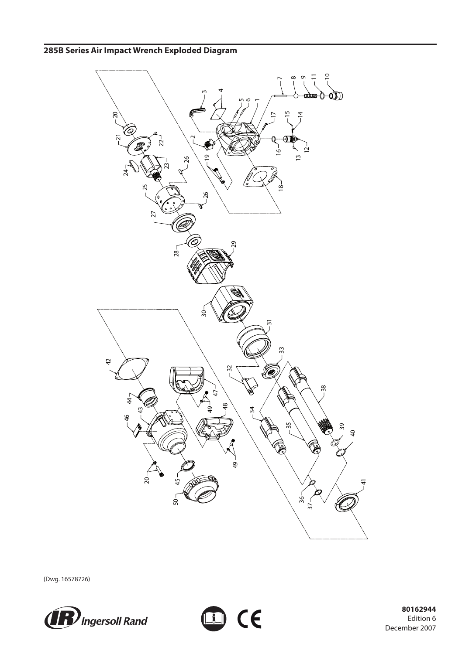

to ce

(Dwg. 16578726)



 **80162944** Edition 6 December 2007